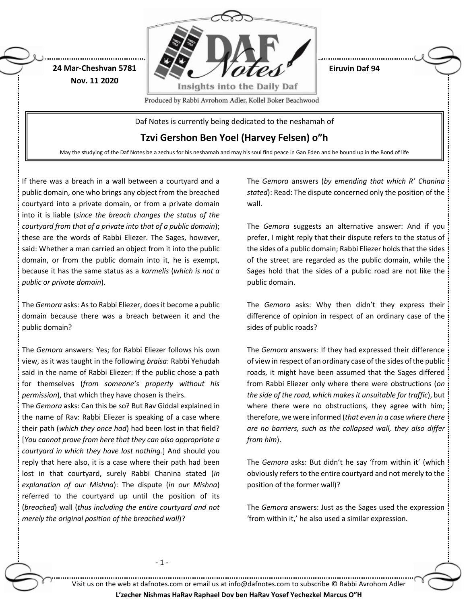

May the studying of the Daf Notes be a zechus for his neshamah and may his soul find peace in Gan Eden and be bound up in the Bond of life

If there was a breach in a wall between a courtyard and a public domain, one who brings any object from the breached courtyard into a private domain, or from a private domain into it is liable (*since the breach changes the status of the courtyard from that of a private into that of a public domain*); these are the words of Rabbi Eliezer. The Sages, however, said: Whether a man carried an object from it into the public domain, or from the public domain into it, he is exempt, because it has the same status as a *karmelis* (*which is not a public or private domain*).

The *Gemora* asks: As to Rabbi Eliezer, does it become a public domain because there was a breach between it and the public domain?

The *Gemora* answers: Yes; for Rabbi Eliezer follows his own view, as it was taught in the following *braisa*: Rabbi Yehudah said in the name of Rabbi Eliezer: If the public chose a path for themselves (*from someone's property without his permission*), that which they have chosen is theirs.

The *Gemora* asks: Can this be so? But Rav Giddal explained in the name of Rav: Rabbi Eliezer is speaking of a case where their path (*which they once had*) had been lost in that field? [*You cannot prove from here that they can also appropriate a courtyard in which they have lost nothing.*] And should you reply that here also, it is a case where their path had been lost in that courtyard, surely Rabbi Chanina stated (*in explanation of our Mishna*): The dispute (*in our Mishna*) referred to the courtyard up until the position of its (*breached*) wall (*thus including the entire courtyard and not merely the original position of the breached wall*)?

The *Gemora* answers (*by emending that which R' Chanina stated*): Read: The dispute concerned only the position of the wall.

The *Gemora* suggests an alternative answer: And if you prefer, I might reply that their dispute refers to the status of the sides of a public domain; Rabbi Eliezer holds that the sides of the street are regarded as the public domain, while the Sages hold that the sides of a public road are not like the public domain.

The *Gemora* asks: Why then didn't they express their difference of opinion in respect of an ordinary case of the sides of public roads?

The *Gemora* answers: If they had expressed their difference of view in respect of an ordinary case of the sides of the public roads, it might have been assumed that the Sages differed from Rabbi Eliezer only where there were obstructions (*on the side of the road, which makes it unsuitable for traffic*), but where there were no obstructions, they agree with him; therefore, we were informed (*that even in a case where there are no barriers, such as the collapsed wall, they also differ from him*).

The *Gemora* asks: But didn't he say 'from within it' (which obviously refers to the entire courtyard and not merely to the position of the former wall)?

The *Gemora* answers: Just as the Sages used the expression 'from within it,' he also used a similar expression.

- 1 -

Visit us on the web at dafnotes.com or email us at [info@dafnotes.com](mailto:info@dafnotes.com) to subscribe © Rabbi Avrohom Adler **L'zecher Nishmas HaRav Raphael Dov ben HaRav Yosef Yechezkel Marcus O"H**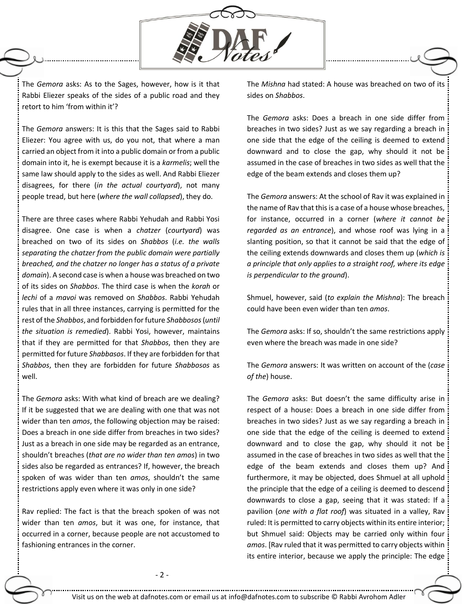

The *Gemora* asks: As to the Sages, however, how is it that Rabbi Eliezer speaks of the sides of a public road and they retort to him 'from within it'?

The *Gemora* answers: It is this that the Sages said to Rabbi Eliezer: You agree with us, do you not, that where a man carried an object from it into a public domain or from a public domain into it, he is exempt because it is a *karmelis*; well the same law should apply to the sides as well. And Rabbi Eliezer disagrees, for there (*in the actual courtyard*), not many people tread, but here (*where the wall collapsed*), they do.

There are three cases where Rabbi Yehudah and Rabbi Yosi disagree. One case is when a *chatzer* (*courtyard*) was breached on two of its sides on *Shabbos* (*i.e. the walls separating the chatzer from the public domain were partially breached, and the chatzer no longer has a status of a private domain*). A second case is when a house was breached on two of its sides on *Shabbos*. The third case is when the *korah* or *lechi* of a *mavoi* was removed on *Shabbos*. Rabbi Yehudah rules that in all three instances, carrying is permitted for the rest of the *Shabbos*, and forbidden for future *Shabbosos*(*until the situation is remedied*). Rabbi Yosi, however, maintains that if they are permitted for that *Shabbos*, then they are permitted for future *Shabbasos*. If they are forbidden for that *Shabbos*, then they are forbidden for future *Shabbosos* as well.

The *Gemora* asks: With what kind of breach are we dealing? If it be suggested that we are dealing with one that was not wider than ten *amos*, the following objection may be raised: Does a breach in one side differ from breaches in two sides? Just as a breach in one side may be regarded as an entrance, shouldn't breaches (*that are no wider than ten amos*) in two sides also be regarded as entrances? If, however, the breach spoken of was wider than ten *amos*, shouldn't the same restrictions apply even where it was only in one side?

Rav replied: The fact is that the breach spoken of was not wider than ten *amos*, but it was one, for instance, that occurred in a corner, because people are not accustomed to fashioning entrances in the corner.

The *Mishna* had stated: A house was breached on two of its sides on *Shabbos*.

The *Gemora* asks: Does a breach in one side differ from breaches in two sides? Just as we say regarding a breach in one side that the edge of the ceiling is deemed to extend downward and to close the gap, why should it not be assumed in the case of breaches in two sides as well that the edge of the beam extends and closes them up?

The *Gemora* answers: At the school of Rav it was explained in the name of Rav that this is a case of a house whose breaches, for instance, occurred in a corner (*where it cannot be regarded as an entrance*), and whose roof was lying in a slanting position, so that it cannot be said that the edge of the ceiling extends downwards and closes them up (*which is a principle that only applies to a straight roof, where its edge is perpendicular to the ground*).

Shmuel, however, said (*to explain the Mishna*): The breach could have been even wider than ten *amos*.

The *Gemora* asks: If so, shouldn't the same restrictions apply even where the breach was made in one side?

The *Gemora* answers: It was written on account of the (*case of the*) house.

The *Gemora* asks: But doesn't the same difficulty arise in respect of a house: Does a breach in one side differ from breaches in two sides? Just as we say regarding a breach in one side that the edge of the ceiling is deemed to extend downward and to close the gap, why should it not be assumed in the case of breaches in two sides as well that the edge of the beam extends and closes them up? And furthermore, it may be objected, does Shmuel at all uphold the principle that the edge of a ceiling is deemed to descend downwards to close a gap, seeing that it was stated: If a pavilion (*one with a flat roof*) was situated in a valley, Rav ruled: It is permitted to carry objects within its entire interior; but Shmuel said: Objects may be carried only within four *amos*. [Rav ruled that it was permitted to carry objects within its entire interior, because we apply the principle: The edge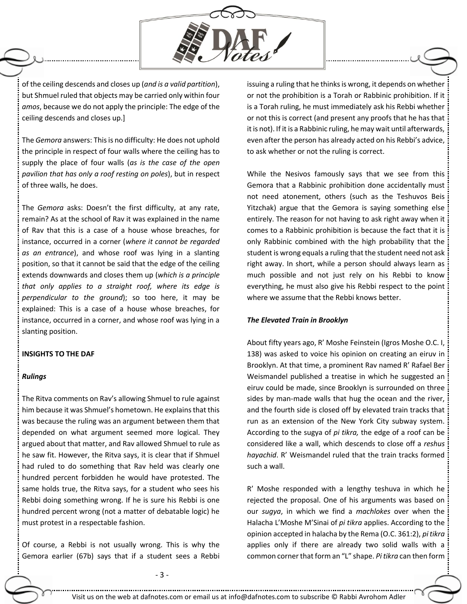

of the ceiling descends and closes up (*and is a valid partition*), but Shmuel ruled that objects may be carried only within four *amos*, because we do not apply the principle: The edge of the ceiling descends and closes up.]

The *Gemora* answers: This is no difficulty: He does not uphold the principle in respect of four walls where the ceiling has to supply the place of four walls (*as is the case of the open pavilion that has only a roof resting on poles*), but in respect of three walls, he does.

The *Gemora* asks: Doesn't the first difficulty, at any rate, remain? As at the school of Rav it was explained in the name of Rav that this is a case of a house whose breaches, for instance, occurred in a corner (*where it cannot be regarded as an entrance*), and whose roof was lying in a slanting position, so that it cannot be said that the edge of the ceiling extends downwards and closes them up (*which is a principle that only applies to a straight roof, where its edge is perpendicular to the ground*); so too here, it may be explained: This is a case of a house whose breaches, for instance, occurred in a corner, and whose roof was lying in a slanting position.

## **INSIGHTS TO THE DAF**

## *Rulings*

The Ritva comments on Rav's allowing Shmuel to rule against him because it was Shmuel's hometown. He explains that this was because the ruling was an argument between them that depended on what argument seemed more logical. They argued about that matter, and Rav allowed Shmuel to rule as he saw fit. However, the Ritva says, it is clear that if Shmuel had ruled to do something that Rav held was clearly one hundred percent forbidden he would have protested. The same holds true, the Ritva says, for a student who sees his Rebbi doing something wrong. If he is sure his Rebbi is one hundred percent wrong (not a matter of debatable logic) he must protest in a respectable fashion.

Of course, a Rebbi is not usually wrong. This is why the Gemora earlier (67b) says that if a student sees a Rebbi issuing a ruling that he thinks is wrong, it depends on whether or not the prohibition is a Torah or Rabbinic prohibition. If it is a Torah ruling, he must immediately ask his Rebbi whether or not this is correct (and present any proofs that he has that it is not). If it is a Rabbinic ruling, he may wait until afterwards, even after the person has already acted on his Rebbi's advice, to ask whether or not the ruling is correct.

While the Nesivos famously says that we see from this Gemora that a Rabbinic prohibition done accidentally must not need atonement, others (such as the Teshuvos Beis Yitzchak) argue that the Gemora is saying something else entirely. The reason for not having to ask right away when it comes to a Rabbinic prohibition is because the fact that it is only Rabbinic combined with the high probability that the student is wrong equals a ruling that the student need not ask right away. In short, while a person should always learn as much possible and not just rely on his Rebbi to know everything, he must also give his Rebbi respect to the point where we assume that the Rebbi knows better.

## *The Elevated Train in Brooklyn*

About fifty years ago, R' Moshe Feinstein (Igros Moshe O.C. I, 138) was asked to voice his opinion on creating an eiruv in Brooklyn. At that time, a prominent Rav named R' Rafael Ber Weismandel published a treatise in which he suggested an eiruv could be made, since Brooklyn is surrounded on three sides by man-made walls that hug the ocean and the river, and the fourth side is closed off by elevated train tracks that run as an extension of the New York City subway system. According to the sugya of *pi tikra,* the edge of a roof can be considered like a wall, which descends to close off a *reshus hayachid*. R' Weismandel ruled that the train tracks formed such a wall.

R' Moshe responded with a lengthy teshuva in which he rejected the proposal. One of his arguments was based on our *sugya*, in which we find a *machlokes* over when the Halacha L'Moshe M'Sinai of *pi tikra* applies. According to the opinion accepted in halacha by the Rema (O.C. 361:2), *pi tikra* applies only if there are already two solid walls with a common corner that form an "L" shape. *Pi tikra* can then form